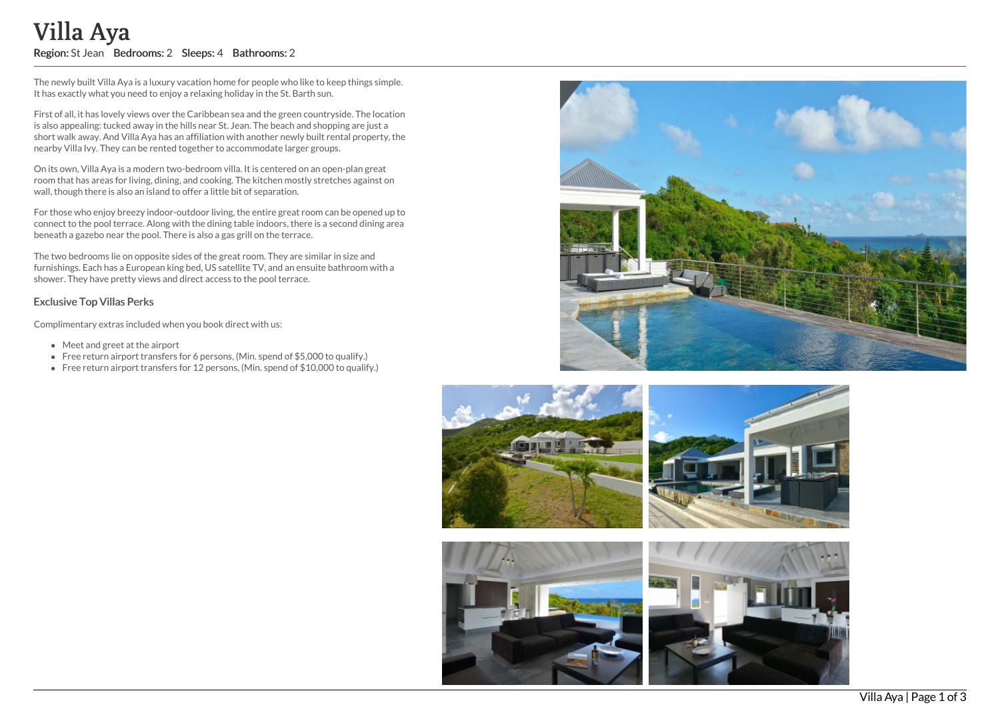## Villa Aya Region: St Jean Bedrooms: 2 Sleeps: 4 Bathrooms: 2

The newly built Villa Aya is a luxury vacation home for people who like to keep things simple. It has exactly what you need to enjoy a relaxing holiday in the St. Barth sun.

First of all, it has lovely views over the Caribbean sea and the green countryside. The location is also appealing: tucked away in the hills near St. Jean. The beach and shopping are just a short walk away. And Villa Aya has an affiliation with another newly built rental property, the nearby Villa Ivy. They can be rented together to accommodate larger groups.

On its own, Villa Aya is a modern two-bedroom villa. It is centered on an open-plan great room that has areas for living, dining, and cooking. The kitchen mostly stretches against on wall, though there is also an island to offer a little bit of separation.

For those who enjoy breezy indoor-outdoor living, the entire great room can be opened up to connect to the pool terrace. Along with the dining table indoors, there is a second dining area beneath a gazebo near the pool. There is also a gas grill on the terrace.

The two bedrooms lie on opposite sides of the great room. They are similar in size and furnishings. Each has a European king bed, US satellite TV, and an ensuite bathroom with a shower. They have pretty views and direct access to the pool terrace.

## Exclusive Top Villas Perks

Complimentary extras included when you book direct with us:

- Meet and greet at the airport
- Free return airport transfers for 6 persons, (Min. spend of \$5,000 to qualify.)
- Free return airport transfers for 12 persons, (Min. spend of \$10,000 to qualify.)



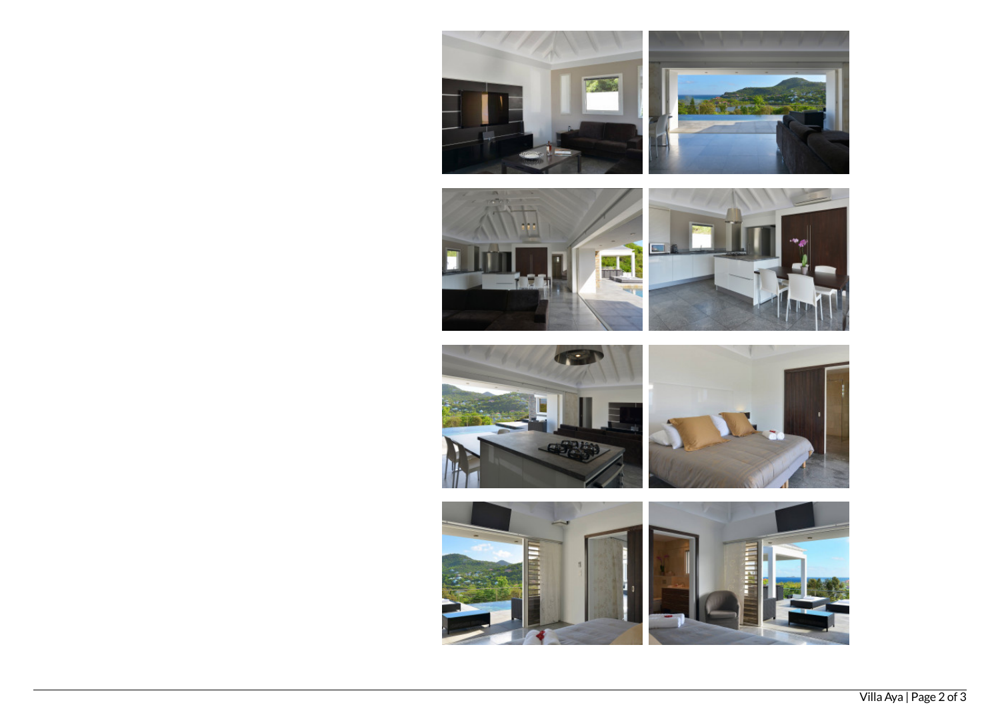